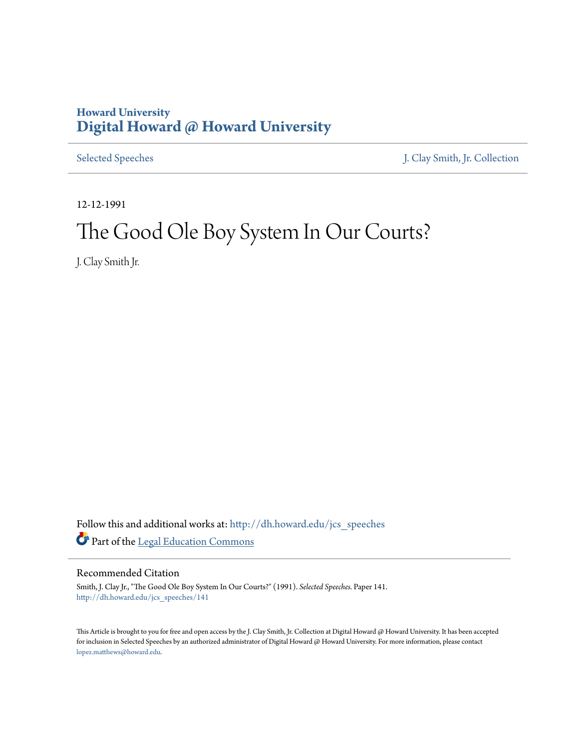## **Howard University [Digital Howard @ Howard University](http://dh.howard.edu?utm_source=dh.howard.edu%2Fjcs_speeches%2F141&utm_medium=PDF&utm_campaign=PDFCoverPages)**

[Selected Speeches](http://dh.howard.edu/jcs_speeches?utm_source=dh.howard.edu%2Fjcs_speeches%2F141&utm_medium=PDF&utm_campaign=PDFCoverPages) [J. Clay Smith, Jr. Collection](http://dh.howard.edu/jcsmith?utm_source=dh.howard.edu%2Fjcs_speeches%2F141&utm_medium=PDF&utm_campaign=PDFCoverPages)

12-12-1991

## The Good Ole Boy System In Our Courts?

J. Clay Smith Jr.

Follow this and additional works at: [http://dh.howard.edu/jcs\\_speeches](http://dh.howard.edu/jcs_speeches?utm_source=dh.howard.edu%2Fjcs_speeches%2F141&utm_medium=PDF&utm_campaign=PDFCoverPages) Part of the [Legal Education Commons](http://network.bepress.com/hgg/discipline/857?utm_source=dh.howard.edu%2Fjcs_speeches%2F141&utm_medium=PDF&utm_campaign=PDFCoverPages)

## Recommended Citation

Smith, J. Clay Jr., "The Good Ole Boy System In Our Courts?" (1991). *Selected Speeches.* Paper 141. [http://dh.howard.edu/jcs\\_speeches/141](http://dh.howard.edu/jcs_speeches/141?utm_source=dh.howard.edu%2Fjcs_speeches%2F141&utm_medium=PDF&utm_campaign=PDFCoverPages)

This Article is brought to you for free and open access by the J. Clay Smith, Jr. Collection at Digital Howard @ Howard University. It has been accepted for inclusion in Selected Speeches by an authorized administrator of Digital Howard @ Howard University. For more information, please contact [lopez.matthews@howard.edu.](mailto:lopez.matthews@howard.edu)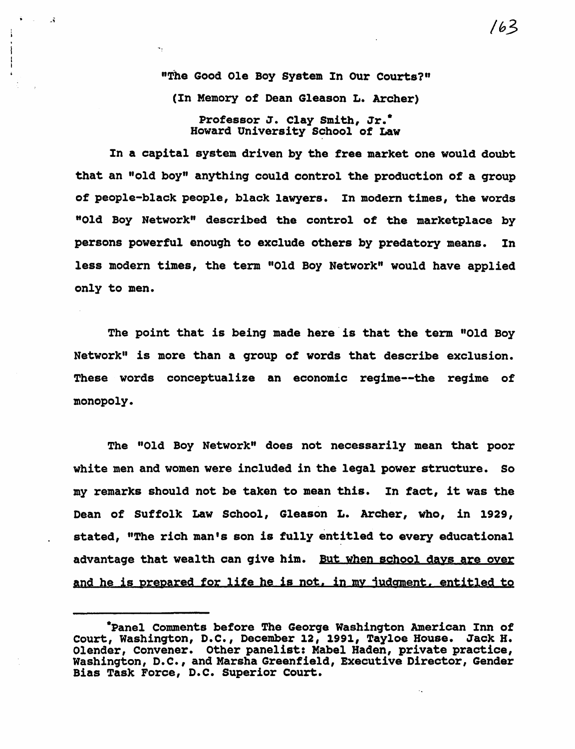"The Good Ole Boy System In Our Courts?" (In Memory of Dean Gleason L. Archer) Professor J. Clay Smith, Jr.<sup>\*</sup>

 $\mathbf{A}$ 

my.

Howard University School of Law

In a capital system driven by the free market one would doubt that an "old boy" anything could control the production of a group of people-black people, black lawyers. In modern times, the words "Old Boy Network" described the control of the marketplace by persons powerful enough to exclude others by predatory means. In less modern times, the term "Old Boy Network" would have applied only to men.

The point that is being made here is that the term "Old Boy Network" is more than a group of words that describe exclusion. These words conceptualize an economic regime--the regime of monopoly.

The "Old Boy Network" does not necessarily mean that poor white men and women were included in the legal power structure. So my remarks should not be taken to mean this. In fact, it was the Dean of Suffolk Law School, Gleason L. Archer, who, in 1929, stated, "The rich man's son is fully entitled to every educational advantage that wealth can give him. But when school days are oyer and he is prepared for life he is not, in my judgment, entitled to

<sup>·</sup>Panel Comments before The George Washington American Inn of Court, Washington, D.C., December 12, 1991, Tayloe House. Jack H.<br>Olender, Convener. Other panelist: Mabel Haden, private practice, Washington, D.C., and Marsha Greenfield, Executive Director, Gender Bias Task Force, D.C. Superior Court.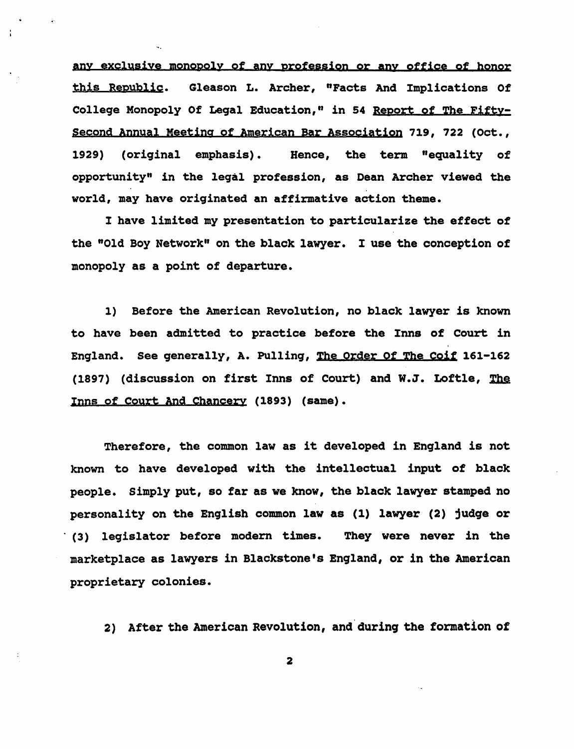any exclusive monopoly of any profession or any office of honor this Republic. Gleason L. Archer, "Facts And Implications Of College Monopoly Of Legal Education," in 54 Report of The Fifty-Second Annual Meeting of American Bar Association 719, 722 (Oct., 1929) (original emphasis). Hence, the term "equality of opportunity" in the leqal profession, as Dean Archer viewed the world, may have originated an affirmative action theme.

I have limited my presentation to particularize the effect of the "Old Boy Network" on the black lawyer. I use the conception of monopoly as a point of departure.

1) Before the American Revolution, no black lawyer is known to have been admitted to practice before the Inns of Court in England. See generally, A. Pulling, Tbe Order Of The Coif 161-162 (1897) (discussion on first Inns of Court) and W.J. Loftle,  $The$ Inns of Court And Chancery (1893) (same).

Therefore, the common law as it developed in England is not known to have developed with the intellectual input of black people. Simply put, so far as we know, the black lawyer stamped no personality on the English common law as (1) lawyer (2) judge or . (3) legislator before modern times. They were never in the marketplace as lawyers in Blackstone's England, or in the American proprietary colonies.

2) After the American Revolution, and during the formation of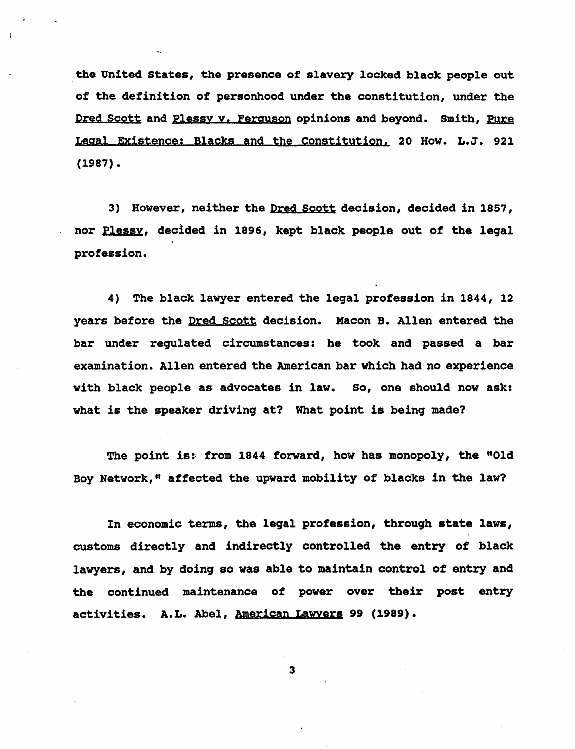the United States, the presence of slavery locked black people out of the definition of personhood under the constitution, under the Dred Scott and Plessy v. Ferguson opinions and beyond. Smith, Pure Legal Existence: Blacks and the Constitution. 20 How. L.J. 921 (1987).

3) However, neither the Dred scott decision, decided in 1857, nor Plessy, decided in 1896, kept black people out of the legal profession.

4) The black lawyer entered the legal profession in 1844, 12 years before the Dred Scott decision. Macon B. Allen entered the bar under regulated circumstances: he took and passed a bar examination. Allen entered the American bar which had no experience with black people as advocates in law. So, one should now ask: what is the speaker driving at? What point is being made?

The point is: from 1844 forward, how has monopoly, the "Old Boy Network," affected the upward mobility of blacks in the law?

In economic terms, the legal profession, through state laws, customs directly and indirectly controlled the entry of black lawyers, and by doing so was able to maintain control of entry and the continued maintenance of power over their post entry activities. A.L. Abel, American Lawyers 99 (1989).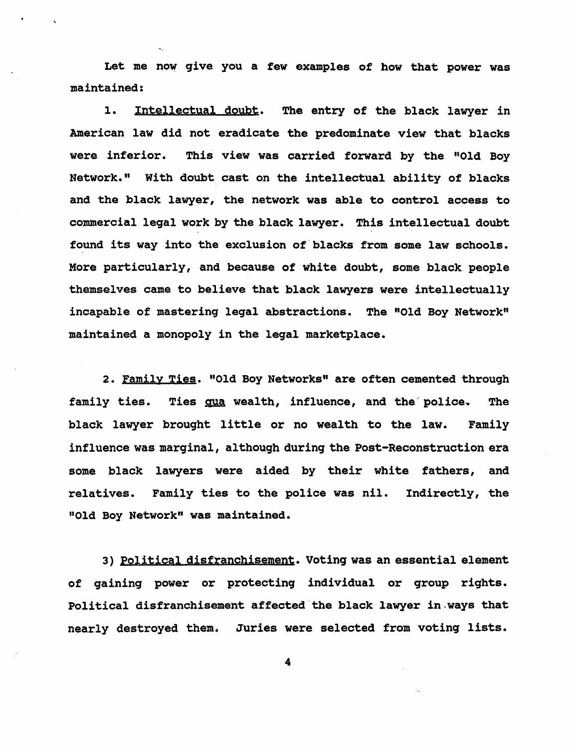Let me now give you a few examples of how that power was maintained:

1. Intellectual doubt. The entry of the black lawyer in American law did not eradicate the predominate view that blacks were inferior. This view was carried forward by the "Old Boy Network." With doubt cast on the intellectual ability of blacks and the black lawyer, the network was able to control access to commercial legal work by the black lawyer. This intellectual doubt found its way into the exclusion of'blacks from some law schools. More particularly, and because of white doubt, some black people themselves came to believe that black lawyers were intellectually incapable of mastering legal abstractions. The "Old Boy Network" maintained a monopoly in the legal marketplace.

2. Family Ties. "Old Boy Networks" are often cemented through family ties. Ties gua wealth, influence, and the police. The black lawyer brought little or no wealth to the law. Family influence was marginal, although during the Post-Reconstruction era some black lawyers were aided by their white fathers, and relatives. Family ties to the police was nil. Indirectly, the "Old Boy Network" was maintained.

3) Political disfranchisement. Voting was an essential element of gaining power or protecting individual or group rights. Political disfranchisement affected'the black lawyer in.ways that nearly destroyed them. Juries were selected from voting lists.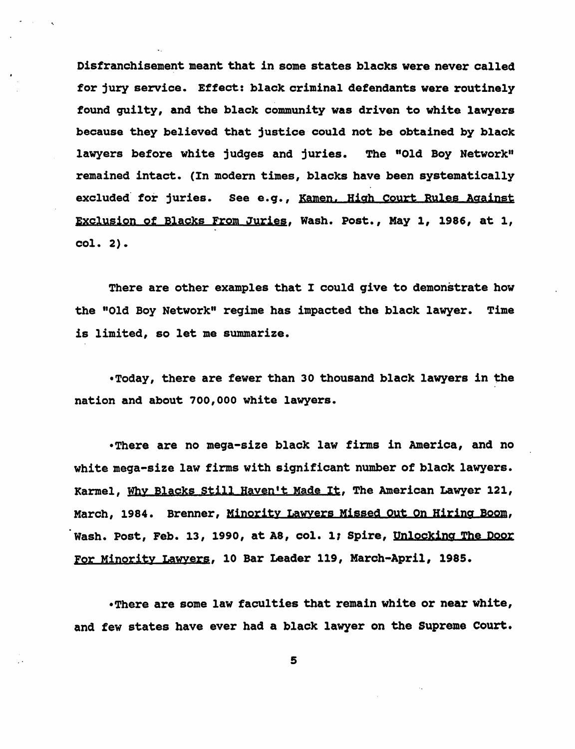Disfranchisement meant that in some states blacks were never called for jury service. Effect: black criminal defendants were routinely found quilty, and the black community was driven to white lawyers because they believed that justice could not be obtained by black lawyers before white judges and juries. The "Old Boy Network" remained intact. (In modern times, blacks have been systematically excluded for juries. See e.g., Kamen. High Court Rules Against Exclusion of Blacks From Juries, Wash. Post., May 1, 1986, at 1, col. 2).

There are other examples that I could give to demonstrate how the "Old Boy Network" regime has impacted the black lawyer. Time is limited, so let me summarize.

-Today, there are fewer than 30 thousand black lawyers in the nation and about 700,000 white lawyers.

-There are no mega-size black law firms in America, and no white mega-size law firms with significant number of black lawyers. Karmel, WhY Blacks still Hayen't Made It, The American Lawyer 121, March, 1984. Brenner, Minority Lawvers Missed Out On Hiring Boom, Wash. Post, Feb. 13, 1990, at A8, col. 1; Spire, Unlocking The Door For Minority Lawyers, 10 Bar Leader 119, March-April, 1985.

-There are some law faculties that remain white or near white, and few states have ever had a black lawyer on the Supreme Court.